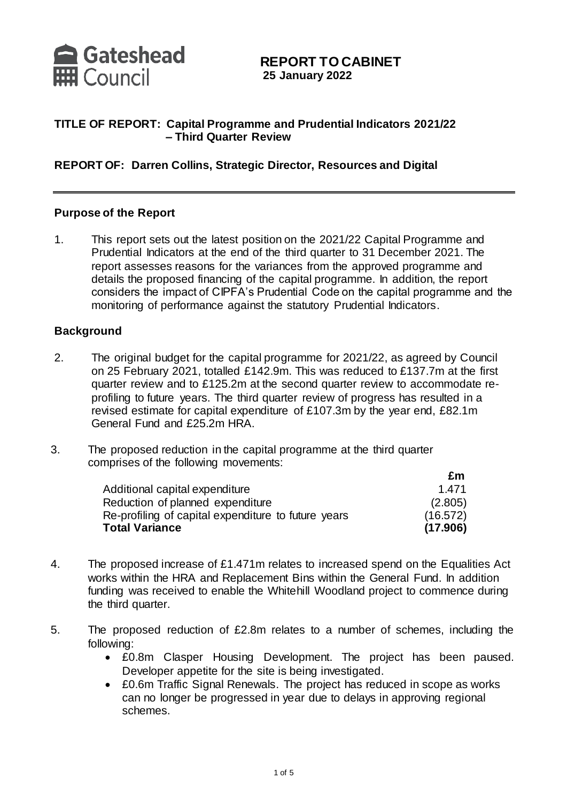

## **REPORT TO CABINET 25 January 2022**

## **TITLE OF REPORT: Capital Programme and Prudential Indicators 2021/22 – Third Quarter Review**

### **REPORT OF: Darren Collins, Strategic Director, Resources and Digital**

#### **Purpose of the Report**

1. This report sets out the latest position on the 2021/22 Capital Programme and Prudential Indicators at the end of the third quarter to 31 December 2021. The report assesses reasons for the variances from the approved programme and details the proposed financing of the capital programme. In addition, the report considers the impact of CIPFA's Prudential Code on the capital programme and the monitoring of performance against the statutory Prudential Indicators.

#### **Background**

- 2. The original budget for the capital programme for 2021/22, as agreed by Council on 25 February 2021, totalled £142.9m. This was reduced to £137.7m at the first quarter review and to £125.2m at the second quarter review to accommodate reprofiling to future years. The third quarter review of progress has resulted in a revised estimate for capital expenditure of £107.3m by the year end, £82.1m General Fund and £25.2m HRA.
- 3. The proposed reduction in the capital programme at the third quarter comprises of the following movements:

|                                                     | £m       |
|-----------------------------------------------------|----------|
| Additional capital expenditure                      | 1.471    |
| Reduction of planned expenditure                    | (2.805)  |
| Re-profiling of capital expenditure to future years | (16.572) |
| <b>Total Variance</b>                               | (17.906) |

- 4. The proposed increase of £1.471m relates to increased spend on the Equalities Act works within the HRA and Replacement Bins within the General Fund. In addition funding was received to enable the Whitehill Woodland project to commence during the third quarter.
- 5. The proposed reduction of £2.8m relates to a number of schemes, including the following:
	- £0.8m Clasper Housing Development. The project has been paused. Developer appetite for the site is being investigated.
	- £0.6m Traffic Signal Renewals. The project has reduced in scope as works can no longer be progressed in year due to delays in approving regional schemes.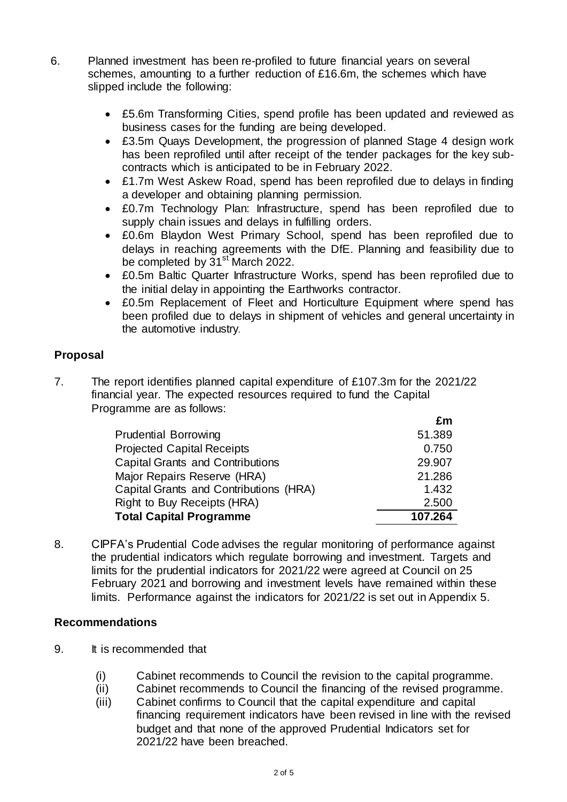- 6. Planned investment has been re-profiled to future financial years on several schemes, amounting to a further reduction of £16.6m, the schemes which have slipped include the following:
	- £5.6m Transforming Cities, spend profile has been updated and reviewed as business cases for the funding are being developed.
	- £3.5m Quays Development, the progression of planned Stage 4 design work has been reprofiled until after receipt of the tender packages for the key subcontracts which is anticipated to be in February 2022.
	- £1.7m West Askew Road, spend has been reprofiled due to delays in finding a developer and obtaining planning permission.
	- £0.7m Technology Plan: Infrastructure, spend has been reprofiled due to supply chain issues and delays in fulfilling orders.
	- £0.6m Blaydon West Primary School, spend has been reprofiled due to delays in reaching agreements with the DfE. Planning and feasibility due to be completed by  $31<sup>st</sup>$  March 2022.
	- £0.5m Baltic Quarter Infrastructure Works, spend has been reprofiled due to the initial delay in appointing the Earthworks contractor.
	- £0.5m Replacement of Fleet and Horticulture Equipment where spend has been profiled due to delays in shipment of vehicles and general uncertainty in the automotive industry.

# **Proposal**

7. The report identifies planned capital expenditure of £107.3m for the 2021/22 financial year. The expected resources required to fund the Capital Programme are as follows:

|                                         | £m      |
|-----------------------------------------|---------|
| <b>Prudential Borrowing</b>             | 51.389  |
| <b>Projected Capital Receipts</b>       | 0.750   |
| <b>Capital Grants and Contributions</b> | 29.907  |
| Major Repairs Reserve (HRA)             | 21.286  |
| Capital Grants and Contributions (HRA)  | 1.432   |
| Right to Buy Receipts (HRA)             | 2.500   |
| <b>Total Capital Programme</b>          | 107.264 |

8. CIPFA's Prudential Code advises the regular monitoring of performance against the prudential indicators which regulate borrowing and investment. Targets and limits for the prudential indicators for 2021/22 were agreed at Council on 25 February 2021 and borrowing and investment levels have remained within these limits. Performance against the indicators for 2021/22 is set out in Appendix 5.

# **Recommendations**

- 9. It is recommended that
	- (i) Cabinet recommends to Council the revision to the capital programme.
	- (ii) Cabinet recommends to Council the financing of the revised programme.
	- (iii) Cabinet confirms to Council that the capital expenditure and capital financing requirement indicators have been revised in line with the revised budget and that none of the approved Prudential Indicators set for 2021/22 have been breached.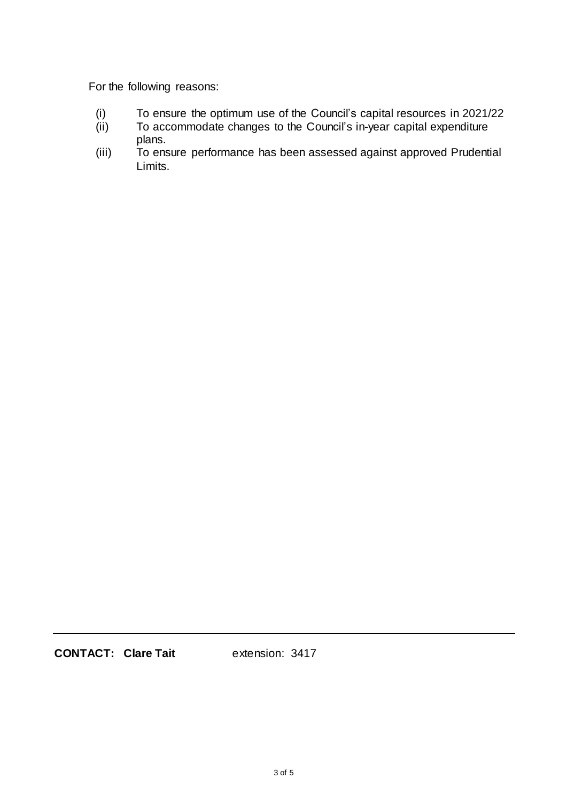For the following reasons:

- (i) To ensure the optimum use of the Council's capital resources in 2021/22
- (i) To accommodate changes to the Council's in-year capital expenditure plans.
- (iii) To ensure performance has been assessed against approved Prudential Limits.

**CONTACT: Clare Tait** extension: 3417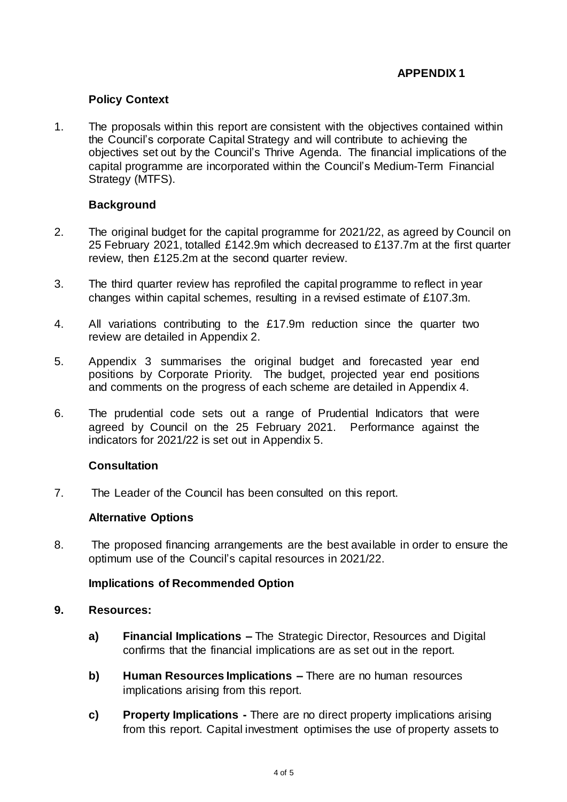# **Policy Context**

1. The proposals within this report are consistent with the objectives contained within the Council's corporate Capital Strategy and will contribute to achieving the objectives set out by the Council's Thrive Agenda. The financial implications of the capital programme are incorporated within the Council's Medium-Term Financial Strategy (MTFS).

## **Background**

- 2. The original budget for the capital programme for 2021/22, as agreed by Council on 25 February 2021, totalled £142.9m which decreased to £137.7m at the first quarter review, then £125.2m at the second quarter review.
- 3. The third quarter review has reprofiled the capital programme to reflect in year changes within capital schemes, resulting in a revised estimate of £107.3m.
- 4. All variations contributing to the £17.9m reduction since the quarter two review are detailed in Appendix 2.
- 5. Appendix 3 summarises the original budget and forecasted year end positions by Corporate Priority. The budget, projected year end positions and comments on the progress of each scheme are detailed in Appendix 4.
- 6. The prudential code sets out a range of Prudential Indicators that were agreed by Council on the 25 February 2021. Performance against the indicators for 2021/22 is set out in Appendix 5.

## **Consultation**

7. The Leader of the Council has been consulted on this report.

## **Alternative Options**

8. The proposed financing arrangements are the best available in order to ensure the optimum use of the Council's capital resources in 2021/22.

## **Implications of Recommended Option**

#### **9. Resources:**

- **a) Financial Implications –** The Strategic Director, Resources and Digital confirms that the financial implications are as set out in the report.
- **b) Human Resources Implications –** There are no human resources implications arising from this report.
- **c) Property Implications -** There are no direct property implications arising from this report. Capital investment optimises the use of property assets to